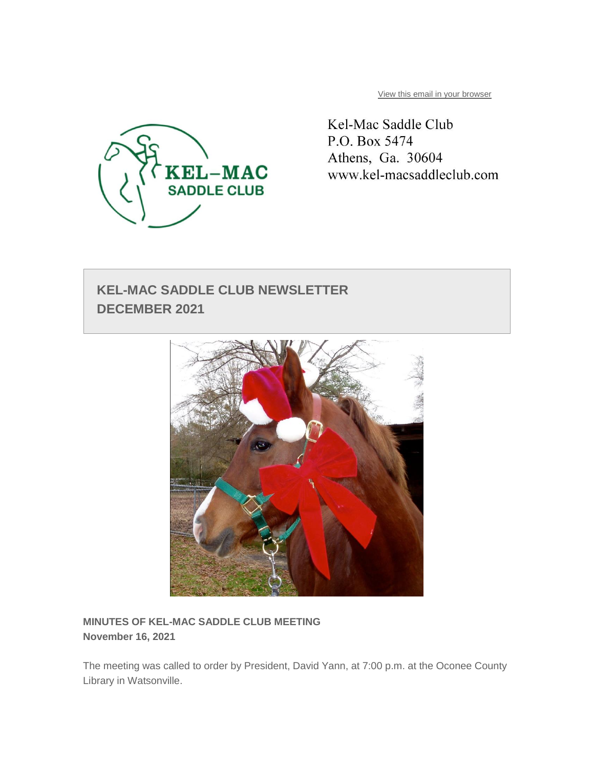

[View this email in your browser](https://mailchi.mp/9f390f67b908/kel-mac-saddle-club-december-2021-newsletter?e=9579edd11e)

Kel-Mac Saddle Club P.O. Box 5474 Athens, Ga. 30604 www.kel-macsaddleclub.com

# **KEL-MAC SADDLE CLUB NEWSLETTER DECEMBER 2021**



**MINUTES OF KEL-MAC SADDLE CLUB MEETING November 16, 2021**

The meeting was called to order by President, David Yann, at 7:00 p.m. at the Oconee County Library in Watsonville.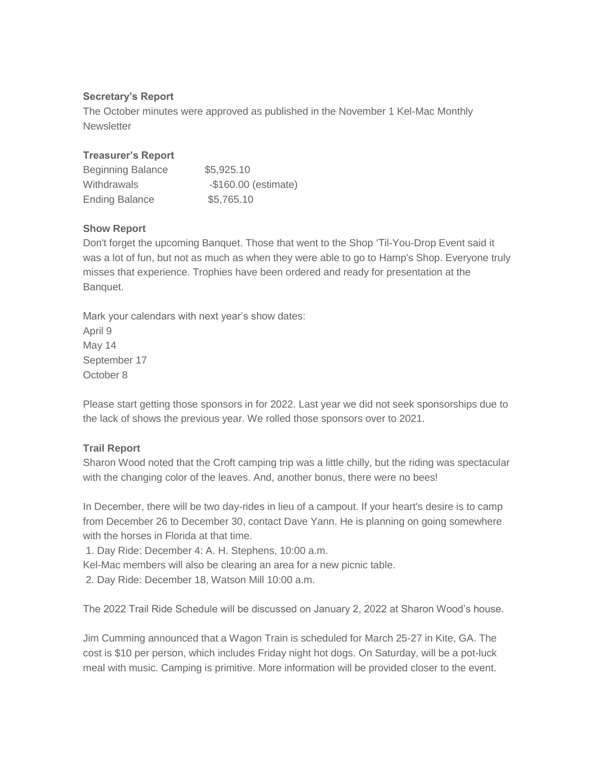## **Secretary's Report**

The October minutes were approved as published in the November 1 Kel-Mac Monthly **Newsletter** 

## **Treasurer's Report**

| <b>Beginning Balance</b> | \$5,925.10            |
|--------------------------|-----------------------|
| Withdrawals              | $-$160.00$ (estimate) |
| <b>Ending Balance</b>    | \$5,765.10            |

## **Show Report**

Don't forget the upcoming Banquet. Those that went to the Shop 'Til-You-Drop Event said it was a lot of fun, but not as much as when they were able to go to Hamp's Shop. Everyone truly misses that experience. Trophies have been ordered and ready for presentation at the Banquet.

Mark your calendars with next year's show dates: April 9 May 14 September 17 October 8

Please start getting those sponsors in for 2022. Last year we did not seek sponsorships due to the lack of shows the previous year. We rolled those sponsors over to 2021.

# **Trail Report**

Sharon Wood noted that the Croft camping trip was a little chilly, but the riding was spectacular with the changing color of the leaves. And, another bonus, there were no bees!

In December, there will be two day-rides in lieu of a campout. If your heart's desire is to camp from December 26 to December 30, contact Dave Yann. He is planning on going somewhere with the horses in Florida at that time.

1. Day Ride: December 4: A. H. Stephens, 10:00 a.m.

Kel-Mac members will also be clearing an area for a new picnic table.

2. Day Ride: December 18, Watson Mill 10:00 a.m.

The 2022 Trail Ride Schedule will be discussed on January 2, 2022 at Sharon Wood's house.

Jim Cumming announced that a Wagon Train is scheduled for March 25-27 in Kite, GA. The cost is \$10 per person, which includes Friday night hot dogs. On Saturday, will be a pot-luck meal with music. Camping is primitive. More information will be provided closer to the event.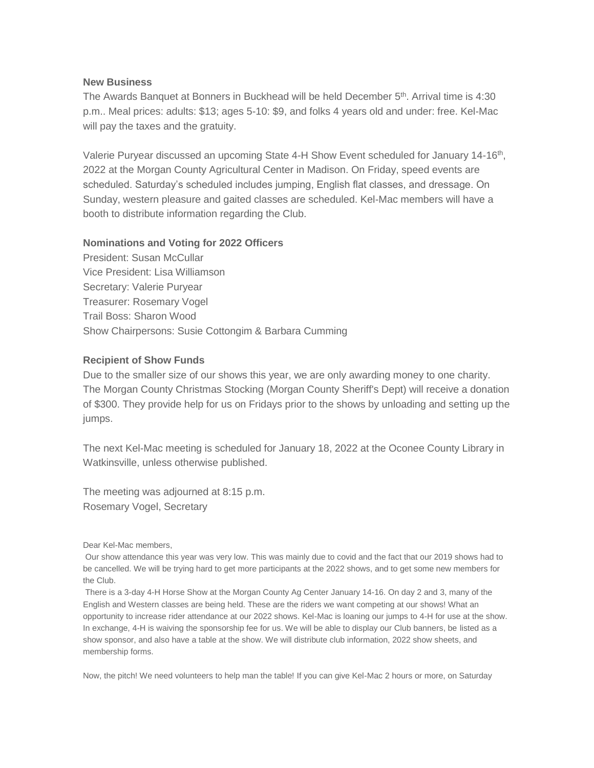#### **New Business**

The Awards Banquet at Bonners in Buckhead will be held December 5<sup>th</sup>. Arrival time is 4:30 p.m.. Meal prices: adults: \$13; ages 5-10: \$9, and folks 4 years old and under: free. Kel-Mac will pay the taxes and the gratuity.

Valerie Puryear discussed an upcoming State 4-H Show Event scheduled for January 14-16<sup>th</sup>, 2022 at the Morgan County Agricultural Center in Madison. On Friday, speed events are scheduled. Saturday's scheduled includes jumping, English flat classes, and dressage. On Sunday, western pleasure and gaited classes are scheduled. Kel-Mac members will have a booth to distribute information regarding the Club.

### **Nominations and Voting for 2022 Officers**

President: Susan McCullar Vice President: Lisa Williamson Secretary: Valerie Puryear Treasurer: Rosemary Vogel Trail Boss: Sharon Wood Show Chairpersons: Susie Cottongim & Barbara Cumming

#### **Recipient of Show Funds**

Due to the smaller size of our shows this year, we are only awarding money to one charity. The Morgan County Christmas Stocking (Morgan County Sheriff's Dept) will receive a donation of \$300. They provide help for us on Fridays prior to the shows by unloading and setting up the jumps.

The next Kel-Mac meeting is scheduled for January 18, 2022 at the Oconee County Library in Watkinsville, unless otherwise published.

The meeting was adjourned at 8:15 p.m. Rosemary Vogel, Secretary

Dear Kel-Mac members,

Our show attendance this year was very low. This was mainly due to covid and the fact that our 2019 shows had to be cancelled. We will be trying hard to get more participants at the 2022 shows, and to get some new members for the Club.

There is a 3-day 4-H Horse Show at the Morgan County Ag Center January 14-16. On day 2 and 3, many of the English and Western classes are being held. These are the riders we want competing at our shows! What an opportunity to increase rider attendance at our 2022 shows. Kel-Mac is loaning our jumps to 4-H for use at the show. In exchange, 4-H is waiving the sponsorship fee for us. We will be able to display our Club banners, be listed as a show sponsor, and also have a table at the show. We will distribute club information, 2022 show sheets, and membership forms.

Now, the pitch! We need volunteers to help man the table! If you can give Kel-Mac 2 hours or more, on Saturday